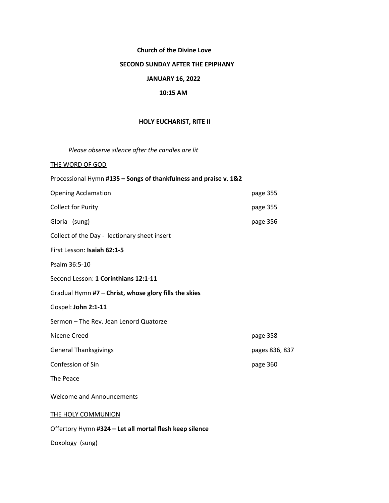# **Church of the Divine Love**

# **SECOND SUNDAY AFTER THE EPIPHANY**

# **JANUARY 16, 2022**

# **10:15 AM**

## **HOLY EUCHARIST, RITE II**

*Please observe silence after the candles are lit* 

THE WORD OF GOD

| Processional Hymn #135 - Songs of thankfulness and praise v. 1&2 |                |  |  |
|------------------------------------------------------------------|----------------|--|--|
| <b>Opening Acclamation</b>                                       | page 355       |  |  |
| <b>Collect for Purity</b>                                        | page 355       |  |  |
| Gloria (sung)                                                    | page 356       |  |  |
| Collect of the Day - lectionary sheet insert                     |                |  |  |
| First Lesson: Isaiah 62:1-5                                      |                |  |  |
| Psalm 36:5-10                                                    |                |  |  |
| Second Lesson: 1 Corinthians 12:1-11                             |                |  |  |
| Gradual Hymn #7 - Christ, whose glory fills the skies            |                |  |  |
| Gospel: John 2:1-11                                              |                |  |  |
| Sermon - The Rev. Jean Lenord Quatorze                           |                |  |  |
| Nicene Creed                                                     | page 358       |  |  |
| <b>General Thanksgivings</b>                                     | pages 836, 837 |  |  |
| Confession of Sin                                                | page 360       |  |  |
| The Peace                                                        |                |  |  |
| <b>Welcome and Announcements</b>                                 |                |  |  |
| THE HOLY COMMUNION                                               |                |  |  |
| Offertory Hymn #324 - Let all mortal flesh keep silence          |                |  |  |

Doxology (sung)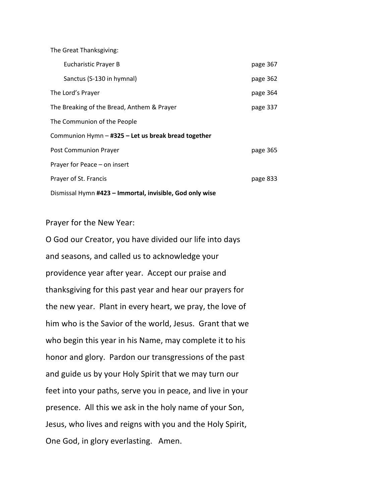The Great Thanksgiving:

|                                                          | Eucharistic Prayer B                       | page 367 |
|----------------------------------------------------------|--------------------------------------------|----------|
|                                                          | Sanctus (S-130 in hymnal)                  | page 362 |
|                                                          | The Lord's Prayer                          | page 364 |
|                                                          | The Breaking of the Bread, Anthem & Prayer | page 337 |
|                                                          | The Communion of the People                |          |
| Communion Hymn - #325 - Let us break bread together      |                                            |          |
|                                                          | Post Communion Prayer                      | page 365 |
|                                                          | Prayer for Peace - on insert               |          |
|                                                          | Prayer of St. Francis                      | page 833 |
| Dismissal Hymn #423 – Immortal, invisible, God only wise |                                            |          |

Prayer for the New Year:

O God our Creator, you have divided our life into days and seasons, and called us to acknowledge your providence year after year. Accept our praise and thanksgiving for this past year and hear our prayers for the new year. Plant in every heart, we pray, the love of him who is the Savior of the world, Jesus. Grant that we who begin this year in his Name, may complete it to his honor and glory. Pardon our transgressions of the past and guide us by your Holy Spirit that we may turn our feet into your paths, serve you in peace, and live in your presence. All this we ask in the holy name of your Son, Jesus, who lives and reigns with you and the Holy Spirit, One God, in glory everlasting. Amen.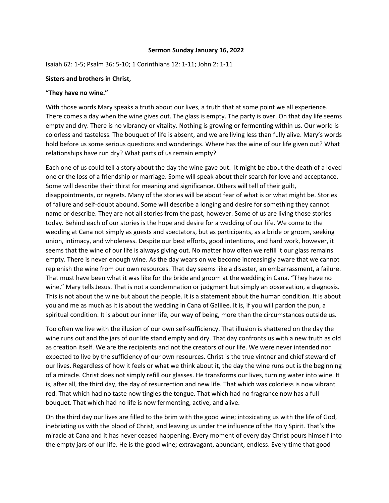#### **Sermon Sunday January 16, 2022**

Isaiah 62: 1-5; Psalm 36: 5-10; 1 Corinthians 12: 1-11; John 2: 1-11

## **Sisters and brothers in Christ,**

## **"They have no wine."**

With those words Mary speaks a truth about our lives, a truth that at some point we all experience. There comes a day when the wine gives out. The glass is empty. The party is over. On that day life seems empty and dry. There is no vibrancy or vitality. Nothing is growing or fermenting within us. Our world is colorless and tasteless. The bouquet of life is absent, and we are living less than fully alive. Mary's words hold before us some serious questions and wonderings. Where has the wine of our life given out? What relationships have run dry? What parts of us remain empty?

Each one of us could tell a story about the day the wine gave out. It might be about the death of a loved one or the loss of a friendship or marriage. Some will speak about their search for love and acceptance. Some will describe their thirst for meaning and significance. Others will tell of their guilt, disappointments, or regrets. Many of the stories will be about fear of what is or what might be. Stories of failure and self-doubt abound. Some will describe a longing and desire for something they cannot name or describe. They are not all stories from the past, however. Some of us are living those stories today. Behind each of our stories is the hope and desire for a wedding of our life. We come to the wedding at Cana not simply as guests and spectators, but as participants, as a bride or groom, seeking union, intimacy, and wholeness. Despite our best efforts, good intentions, and hard work, however, it seems that the wine of our life is always giving out. No matter how often we refill it our glass remains empty. There is never enough wine. As the day wears on we become increasingly aware that we cannot replenish the wine from our own resources. That day seems like a disaster, an embarrassment, a failure. That must have been what it was like for the bride and groom at the wedding in Cana. "They have no wine," Mary tells Jesus. That is not a condemnation or judgment but simply an observation, a diagnosis. This is not about the wine but about the people. It is a statement about the human condition. It is about you and me as much as it is about the wedding in Cana of Galilee. It is, if you will pardon the pun, a spiritual condition. It is about our inner life, our way of being, more than the circumstances outside us.

Too often we live with the illusion of our own self-sufficiency. That illusion is shattered on the day the wine runs out and the jars of our life stand empty and dry. That day confronts us with a new truth as old as creation itself. We are the recipients and not the creators of our life. We were never intended nor expected to live by the sufficiency of our own resources. Christ is the true vintner and chief steward of our lives. Regardless of how it feels or what we think about it, the day the wine runs out is the beginning of a miracle. Christ does not simply refill our glasses. He transforms our lives, turning water into wine. It is, after all, the third day, the day of resurrection and new life. That which was colorless is now vibrant red. That which had no taste now tingles the tongue. That which had no fragrance now has a full bouquet. That which had no life is now fermenting, active, and alive.

On the third day our lives are filled to the brim with the good wine; intoxicating us with the life of God, inebriating us with the blood of Christ, and leaving us under the influence of the Holy Spirit. That's the miracle at Cana and it has never ceased happening. Every moment of every day Christ pours himself into the empty jars of our life. He is the good wine; extravagant, abundant, endless. Every time that good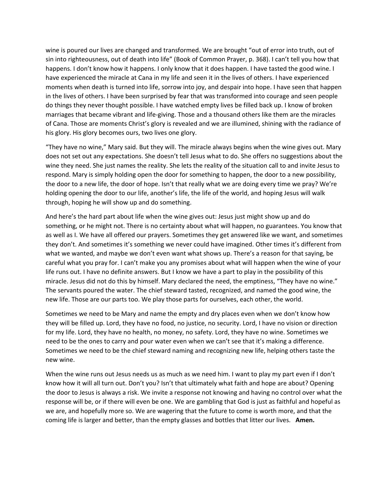wine is poured our lives are changed and transformed. We are brought "out of error into truth, out of sin into righteousness, out of death into life" (Book of Common Prayer, p. 368). I can't tell you how that happens. I don't know how it happens. I only know that it does happen. I have tasted the good wine. I have experienced the miracle at Cana in my life and seen it in the lives of others. I have experienced moments when death is turned into life, sorrow into joy, and despair into hope. I have seen that happen in the lives of others. I have been surprised by fear that was transformed into courage and seen people do things they never thought possible. I have watched empty lives be filled back up. I know of broken marriages that became vibrant and life-giving. Those and a thousand others like them are the miracles of Cana. Those are moments Christ's glory is revealed and we are illumined, shining with the radiance of his glory. His glory becomes ours, two lives one glory.

"They have no wine," Mary said. But they will. The miracle always begins when the wine gives out. Mary does not set out any expectations. She doesn't tell Jesus what to do. She offers no suggestions about the wine they need. She just names the reality. She lets the reality of the situation call to and invite Jesus to respond. Mary is simply holding open the door for something to happen, the door to a new possibility, the door to a new life, the door of hope. Isn't that really what we are doing every time we pray? We're holding opening the door to our life, another's life, the life of the world, and hoping Jesus will walk through, hoping he will show up and do something.

And here's the hard part about life when the wine gives out: Jesus just might show up and do something, or he might not. There is no certainty about what will happen, no guarantees. You know that as well as I. We have all offered our prayers. Sometimes they get answered like we want, and sometimes they don't. And sometimes it's something we never could have imagined. Other times it's different from what we wanted, and maybe we don't even want what shows up. There's a reason for that saying, be careful what you pray for. I can't make you any promises about what will happen when the wine of your life runs out. I have no definite answers. But I know we have a part to play in the possibility of this miracle. Jesus did not do this by himself. Mary declared the need, the emptiness, "They have no wine." The servants poured the water. The chief steward tasted, recognized, and named the good wine, the new life. Those are our parts too. We play those parts for ourselves, each other, the world.

Sometimes we need to be Mary and name the empty and dry places even when we don't know how they will be filled up. Lord, they have no food, no justice, no security. Lord, I have no vision or direction for my life. Lord, they have no health, no money, no safety. Lord, they have no wine. Sometimes we need to be the ones to carry and pour water even when we can't see that it's making a difference. Sometimes we need to be the chief steward naming and recognizing new life, helping others taste the new wine.

When the wine runs out Jesus needs us as much as we need him. I want to play my part even if I don't know how it will all turn out. Don't you? Isn't that ultimately what faith and hope are about? Opening the door to Jesus is always a risk. We invite a response not knowing and having no control over what the response will be, or if there will even be one. We are gambling that God is just as faithful and hopeful as we are, and hopefully more so. We are wagering that the future to come is worth more, and that the coming life is larger and better, than the empty glasses and bottles that litter our lives. **Amen.**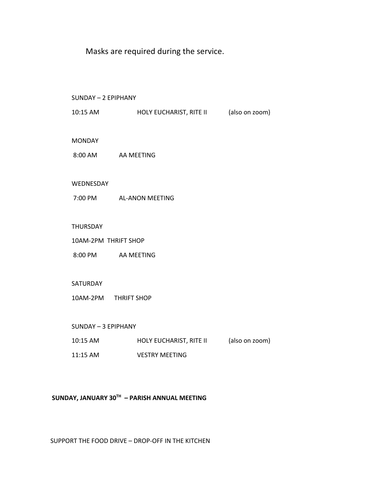Masks are required during the service.

 SUNDAY – 2 EPIPHANY 10:15 AM HOLY EUCHARIST, RITE II (also on zoom) MONDAY 8:00 AM AA MEETING WEDNESDAY 7:00 PM AL-ANON MEETING THURSDAY 10AM-2PM THRIFT SHOP 8:00 PM AA MEETING SATURDAY 10AM-2PM THRIFT SHOP SUNDAY – 3 EPIPHANY 10:15 AM HOLY EUCHARIST, RITE II (also on zoom) 11:15 AM VESTRY MEETING

## **SUNDAY, JANUARY 30TH – PARISH ANNUAL MEETING**

SUPPORT THE FOOD DRIVE – DROP-OFF IN THE KITCHEN